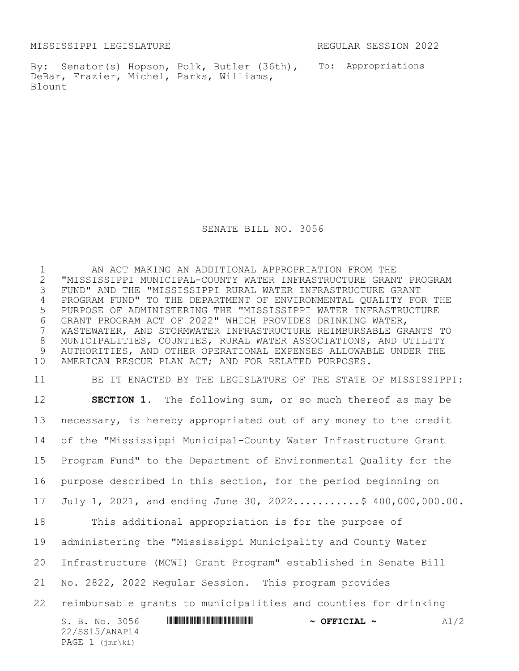MISSISSIPPI LEGISLATURE REGULAR SESSION 2022

PAGE 1 (jmr\ki)

By: Senator(s) Hopson, Polk, Butler (36th), To: Appropriations DeBar, Frazier, Michel, Parks, Williams, Blount

SENATE BILL NO. 3056

 AN ACT MAKING AN ADDITIONAL APPROPRIATION FROM THE "MISSISSIPPI MUNICIPAL-COUNTY WATER INFRASTRUCTURE GRANT PROGRAM FUND" AND THE "MISSISSIPPI RURAL WATER INFRASTRUCTURE GRANT PROGRAM FUND" TO THE DEPARTMENT OF ENVIRONMENTAL QUALITY FOR THE PURPOSE OF ADMINISTERING THE "MISSISSIPPI WATER INFRASTRUCTURE GRANT PROGRAM ACT OF 2022" WHICH PROVIDES DRINKING WATER, WASTEWATER, AND STORMWATER INFRASTRUCTURE REIMBURSABLE GRANTS TO MUNICIPALITIES, COUNTIES, RURAL WATER ASSOCIATIONS, AND UTILITY AUTHORITIES, AND OTHER OPERATIONAL EXPENSES ALLOWABLE UNDER THE AMERICAN RESCUE PLAN ACT; AND FOR RELATED PURPOSES.

S. B. No. 3056 \*SS15/ANAP14\* **~ OFFICIAL ~** A1/2 22/SS15/ANAP14 BE IT ENACTED BY THE LEGISLATURE OF THE STATE OF MISSISSIPPI: **SECTION 1.** The following sum, or so much thereof as may be necessary, is hereby appropriated out of any money to the credit of the "Mississippi Municipal-County Water Infrastructure Grant Program Fund" to the Department of Environmental Quality for the purpose described in this section, for the period beginning on July 1, 2021, and ending June 30, 2022...........\$ 400,000,000.00. This additional appropriation is for the purpose of administering the "Mississippi Municipality and County Water Infrastructure (MCWI) Grant Program" established in Senate Bill No. 2822, 2022 Regular Session. This program provides reimbursable grants to municipalities and counties for drinking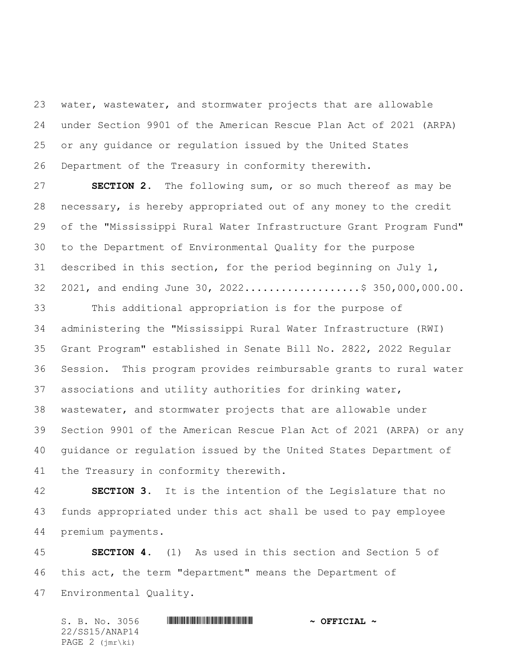water, wastewater, and stormwater projects that are allowable under Section 9901 of the American Rescue Plan Act of 2021 (ARPA) or any guidance or regulation issued by the United States Department of the Treasury in conformity therewith.

 **SECTION 2.** The following sum, or so much thereof as may be necessary, is hereby appropriated out of any money to the credit of the "Mississippi Rural Water Infrastructure Grant Program Fund" to the Department of Environmental Quality for the purpose described in this section, for the period beginning on July 1, 2021, and ending June 30, 2022...................\$ 350,000,000.00.

 This additional appropriation is for the purpose of administering the "Mississippi Rural Water Infrastructure (RWI) Grant Program" established in Senate Bill No. 2822, 2022 Regular Session. This program provides reimbursable grants to rural water associations and utility authorities for drinking water, wastewater, and stormwater projects that are allowable under Section 9901 of the American Rescue Plan Act of 2021 (ARPA) or any guidance or regulation issued by the United States Department of the Treasury in conformity therewith.

 **SECTION 3.** It is the intention of the Legislature that no funds appropriated under this act shall be used to pay employee premium payments.

 **SECTION 4.** (1) As used in this section and Section 5 of this act, the term "department" means the Department of Environmental Quality.

S. B. No. 3056 \*SS15/ANAP14\* **~ OFFICIAL ~** 22/SS15/ANAP14 PAGE 2 (jmr\ki)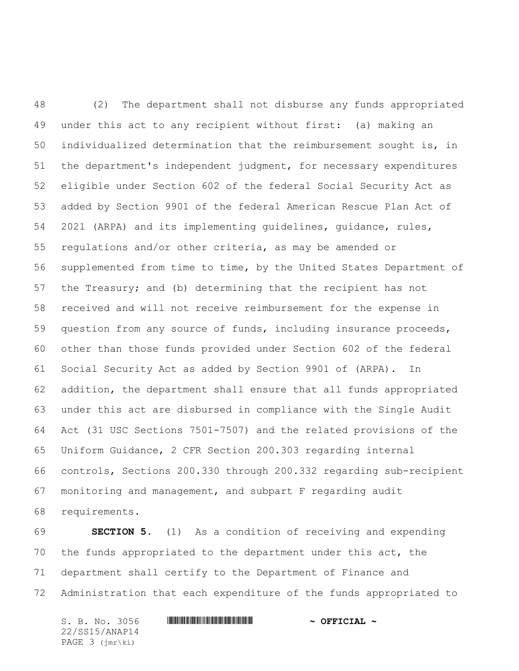(2) The department shall not disburse any funds appropriated under this act to any recipient without first: (a) making an individualized determination that the reimbursement sought is, in the department's independent judgment, for necessary expenditures eligible under Section 602 of the federal Social Security Act as added by Section 9901 of the federal American Rescue Plan Act of 2021 (ARPA) and its implementing guidelines, guidance, rules, regulations and/or other criteria, as may be amended or supplemented from time to time, by the United States Department of the Treasury; and (b) determining that the recipient has not received and will not receive reimbursement for the expense in question from any source of funds, including insurance proceeds, other than those funds provided under Section 602 of the federal Social Security Act as added by Section 9901 of (ARPA). In addition, the department shall ensure that all funds appropriated under this act are disbursed in compliance with the Single Audit Act (31 USC Sections 7501-7507) and the related provisions of the Uniform Guidance, 2 CFR Section 200.303 regarding internal controls, Sections 200.330 through 200.332 regarding sub-recipient monitoring and management, and subpart F regarding audit requirements.

 **SECTION 5.** (1) As a condition of receiving and expending the funds appropriated to the department under this act, the department shall certify to the Department of Finance and Administration that each expenditure of the funds appropriated to

S. B. No. 3056 \*SS15/ANAP14\* **~ OFFICIAL ~** 22/SS15/ANAP14 PAGE 3 (jmr\ki)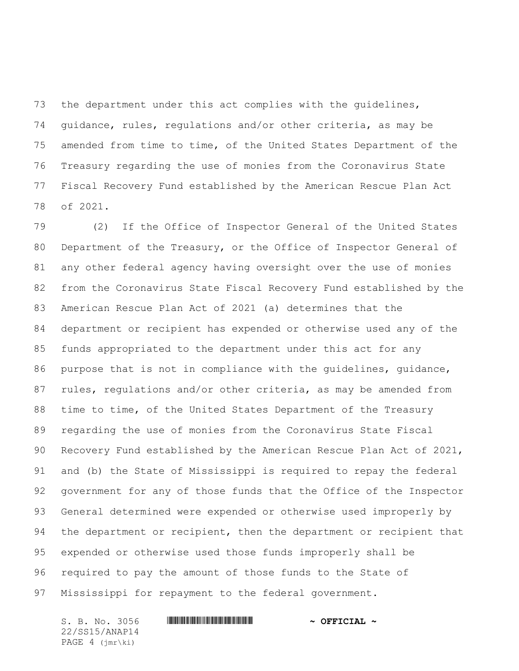the department under this act complies with the guidelines, guidance, rules, regulations and/or other criteria, as may be amended from time to time, of the United States Department of the Treasury regarding the use of monies from the Coronavirus State Fiscal Recovery Fund established by the American Rescue Plan Act of 2021.

 (2) If the Office of Inspector General of the United States Department of the Treasury, or the Office of Inspector General of any other federal agency having oversight over the use of monies from the Coronavirus State Fiscal Recovery Fund established by the American Rescue Plan Act of 2021 (a) determines that the department or recipient has expended or otherwise used any of the funds appropriated to the department under this act for any purpose that is not in compliance with the guidelines, guidance, rules, regulations and/or other criteria, as may be amended from 88 time to time, of the United States Department of the Treasury regarding the use of monies from the Coronavirus State Fiscal Recovery Fund established by the American Rescue Plan Act of 2021, and (b) the State of Mississippi is required to repay the federal government for any of those funds that the Office of the Inspector General determined were expended or otherwise used improperly by 94 the department or recipient, then the department or recipient that expended or otherwise used those funds improperly shall be required to pay the amount of those funds to the State of Mississippi for repayment to the federal government.

22/SS15/ANAP14 PAGE 4 (jmr\ki)

## S. B. No. 3056 \*SS15/ANAP14\* **~ OFFICIAL ~**